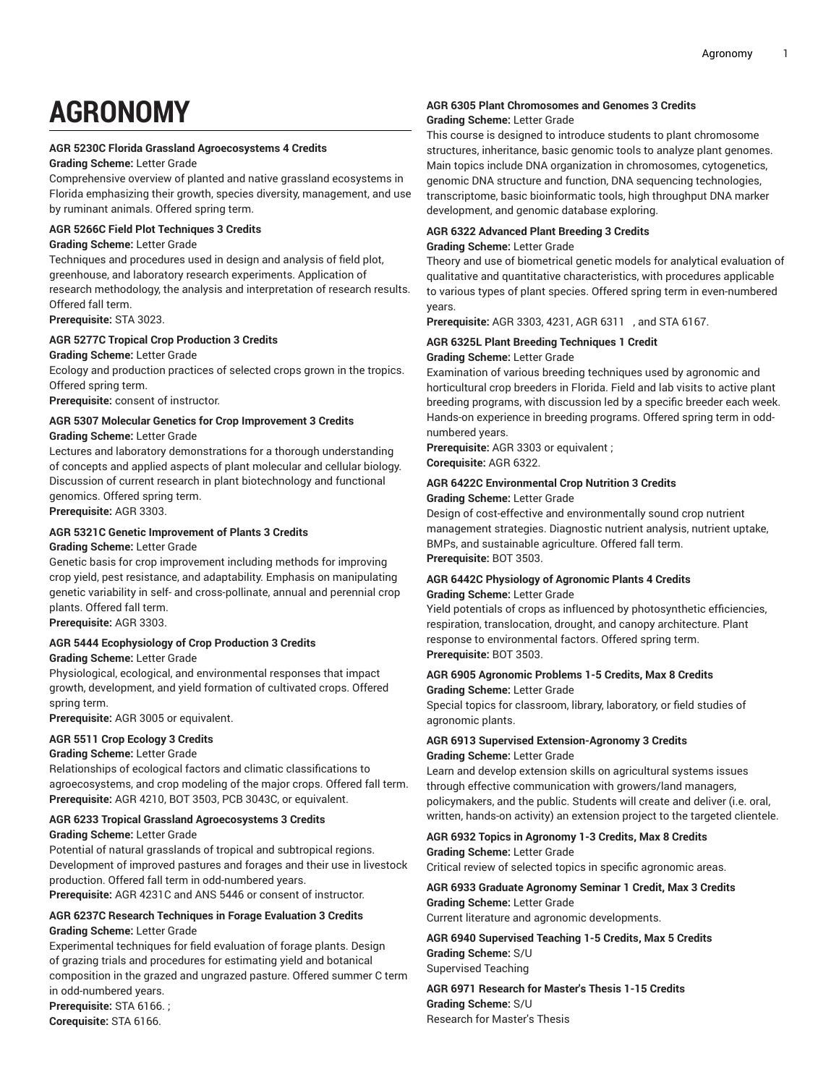# **AGRONOMY**

# **AGR 5230C Florida Grassland Agroecosystems 4 Credits**

# **Grading Scheme:** Letter Grade

Comprehensive overview of planted and native grassland ecosystems in Florida emphasizing their growth, species diversity, management, and use by ruminant animals. Offered spring term.

#### **AGR 5266C Field Plot Techniques 3 Credits**

#### **Grading Scheme:** Letter Grade

Techniques and procedures used in design and analysis of field plot, greenhouse, and laboratory research experiments. Application of research methodology, the analysis and interpretation of research results. Offered fall term.

**Prerequisite:** STA 3023.

# **AGR 5277C Tropical Crop Production 3 Credits**

**Grading Scheme:** Letter Grade Ecology and production practices of selected crops grown in the tropics.

Offered spring term. **Prerequisite:** consent of instructor.

# **AGR 5307 Molecular Genetics for Crop Improvement 3 Credits**

**Grading Scheme:** Letter Grade

Lectures and laboratory demonstrations for a thorough understanding of concepts and applied aspects of plant molecular and cellular biology. Discussion of current research in plant biotechnology and functional genomics. Offered spring term. **Prerequisite:** AGR 3303.

# **AGR 5321C Genetic Improvement of Plants 3 Credits**

# **Grading Scheme:** Letter Grade

Genetic basis for crop improvement including methods for improving crop yield, pest resistance, and adaptability. Emphasis on manipulating genetic variability in self- and cross-pollinate, annual and perennial crop plants. Offered fall term.

**Prerequisite:** AGR 3303.

# **AGR 5444 Ecophysiology of Crop Production 3 Credits**

#### **Grading Scheme:** Letter Grade

Physiological, ecological, and environmental responses that impact growth, development, and yield formation of cultivated crops. Offered spring term.

**Prerequisite:** AGR 3005 or equivalent.

# **AGR 5511 Crop Ecology 3 Credits**

**Grading Scheme:** Letter Grade

Relationships of ecological factors and climatic classifications to agroecosystems, and crop modeling of the major crops. Offered fall term. **Prerequisite:** AGR 4210, BOT 3503, PCB 3043C, or equivalent.

# **AGR 6233 Tropical Grassland Agroecosystems 3 Credits**

# **Grading Scheme:** Letter Grade

Potential of natural grasslands of tropical and subtropical regions. Development of improved pastures and forages and their use in livestock production. Offered fall term in odd-numbered years.

**Prerequisite:** AGR 4231C and ANS 5446 or consent of instructor.

#### **AGR 6237C Research Techniques in Forage Evaluation 3 Credits Grading Scheme:** Letter Grade

Experimental techniques for field evaluation of forage plants. Design of grazing trials and procedures for estimating yield and botanical composition in the grazed and ungrazed pasture. Offered summer C term in odd-numbered years.

**Prerequisite:** STA 6166. ; **Corequisite:** STA 6166.

# **AGR 6305 Plant Chromosomes and Genomes 3 Credits Grading Scheme:** Letter Grade

This course is designed to introduce students to plant chromosome structures, inheritance, basic genomic tools to analyze plant genomes. Main topics include DNA organization in chromosomes, cytogenetics, genomic DNA structure and function, DNA sequencing technologies, transcriptome, basic bioinformatic tools, high throughput DNA marker development, and genomic database exploring.

#### **AGR 6322 Advanced Plant Breeding 3 Credits**

#### **Grading Scheme:** Letter Grade

Theory and use of biometrical genetic models for analytical evaluation of qualitative and quantitative characteristics, with procedures applicable to various types of plant species. Offered spring term in even-numbered years.

**Prerequisite:** AGR 3303, 4231, AGR 6311 , and STA 6167.

#### **AGR 6325L Plant Breeding Techniques 1 Credit Grading Scheme:** Letter Grade

Examination of various breeding techniques used by agronomic and

horticultural crop breeders in Florida. Field and lab visits to active plant breeding programs, with discussion led by a specific breeder each week. Hands-on experience in breeding programs. Offered spring term in oddnumbered years.

**Prerequisite:** AGR 3303 or equivalent ;

**Corequisite:** AGR 6322.

# **AGR 6422C Environmental Crop Nutrition 3 Credits**

#### **Grading Scheme:** Letter Grade

Design of cost-effective and environmentally sound crop nutrient management strategies. Diagnostic nutrient analysis, nutrient uptake, BMPs, and sustainable agriculture. Offered fall term. **Prerequisite:** BOT 3503.

# **AGR 6442C Physiology of Agronomic Plants 4 Credits Grading Scheme:** Letter Grade

Yield potentials of crops as influenced by photosynthetic efficiencies, respiration, translocation, drought, and canopy architecture. Plant response to environmental factors. Offered spring term. **Prerequisite:** BOT 3503.

# **AGR 6905 Agronomic Problems 1-5 Credits, Max 8 Credits**

**Grading Scheme:** Letter Grade Special topics for classroom, library, laboratory, or field studies of agronomic plants.

# **AGR 6913 Supervised Extension-Agronomy 3 Credits Grading Scheme:** Letter Grade

Learn and develop extension skills on agricultural systems issues through effective communication with growers/land managers, policymakers, and the public. Students will create and deliver (i.e. oral, written, hands-on activity) an extension project to the targeted clientele.

# **AGR 6932 Topics in Agronomy 1-3 Credits, Max 8 Credits Grading Scheme:** Letter Grade

Critical review of selected topics in specific agronomic areas.

# **AGR 6933 Graduate Agronomy Seminar 1 Credit, Max 3 Credits Grading Scheme:** Letter Grade

Current literature and agronomic developments.

**AGR 6940 Supervised Teaching 1-5 Credits, Max 5 Credits Grading Scheme:** S/U Supervised Teaching

**AGR 6971 Research for Master's Thesis 1-15 Credits Grading Scheme:** S/U Research for Master's Thesis